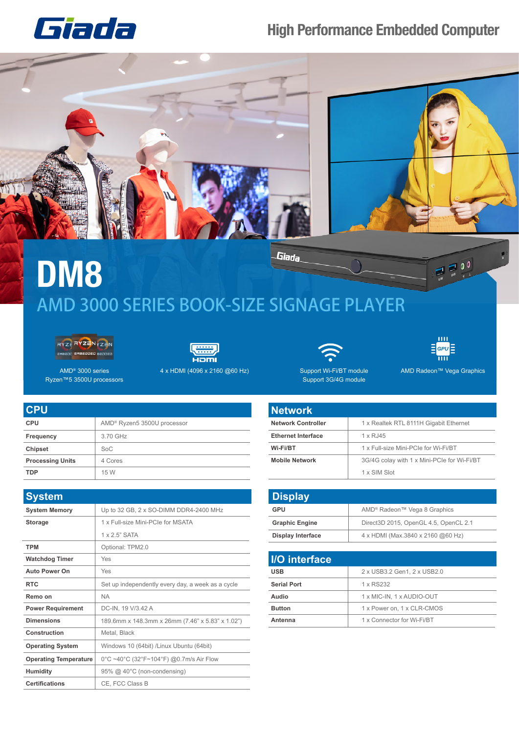## **High Performance Embedded Computer**





Giada **DM8** AMD 3000 SERIES BOOK-SIZE SIGNAGE PLAYER





4 x HDMI (4096 x 2160 @60 Hz) AMD Radeon™ Vega Graphics

Support Wi-Fi/BT module

Support 3G/4G module

 $\overline{1111}$  $E$ GPU $E$  $\overline{\mathbf{m}}$ 

 $\frac{1}{2}$   $\frac{1}{2}$   $\frac{0}{2}$ 

AMD® 3000 series Ryzen™5 3500U processors

| <b>CPU</b>              |                                         |
|-------------------------|-----------------------------------------|
| <b>CPU</b>              | AMD <sup>®</sup> Ryzen5 3500U processor |
| Frequency               | 3.70 GHz                                |
| Chipset                 | SoC                                     |
| <b>Processing Units</b> | 4 Cores                                 |
| <b>TDP</b>              | 15 W                                    |

| <b>System</b>                |                                                   |
|------------------------------|---------------------------------------------------|
| <b>System Memory</b>         | Up to 32 GB, 2 x SO-DIMM DDR4-2400 MHz            |
| <b>Storage</b>               | 1 x Full-size Mini-PCIe for MSATA                 |
|                              | $1 \times 2.5$ " SATA                             |
| <b>TPM</b>                   | Optional: TPM2.0                                  |
| <b>Watchdog Timer</b>        | Yes                                               |
| <b>Auto Power On</b>         | Yes                                               |
| <b>RTC</b>                   | Set up independently every day, a week as a cycle |
| Remo on                      | <b>NA</b>                                         |
| <b>Power Requirement</b>     | DC-IN, 19 V/3.42 A                                |
| <b>Dimensions</b>            | 189.6mm x 148.3mm x 26mm (7.46" x 5.83" x 1.02")  |
| Construction                 | Metal, Black                                      |
| <b>Operating System</b>      | Windows 10 (64bit) /Linux Ubuntu (64bit)          |
| <b>Operating Temperature</b> | 0°C ~40°C (32°F~104°F) @0.7m/s Air Flow           |
| Humidity                     | 95% @ 40°C (non-condensing)                       |
| <b>Certifications</b>        | CE, FCC Class B                                   |

| <b>Network</b>            |                                             |
|---------------------------|---------------------------------------------|
| <b>Network Controller</b> | 1 x Realtek RTL 8111H Gigabit Ethernet      |
| <b>Ethernet Interface</b> | 1 x RJ45                                    |
| Wi-Fi/BT                  | 1 x Full-size Mini-PCIe for Wi-Fi/BT        |
| <b>Mobile Network</b>     | 3G/4G colay with 1 x Mini-PCIe for Wi-Fi/BT |
|                           | 1 x SIM Slot                                |

| <b>Display</b>           |                                          |
|--------------------------|------------------------------------------|
| GPU                      | AMD <sup>®</sup> Radeon™ Vega 8 Graphics |
| <b>Graphic Engine</b>    | Direct3D 2015, OpenGL 4.5, OpenCL 2.1    |
| <b>Display Interface</b> | 4 x HDMI (Max.3840 x 2160 @60 Hz)        |

| I/O interface      |                             |
|--------------------|-----------------------------|
| <b>USB</b>         | 2 x USB3.2 Gen1, 2 x USB2.0 |
| <b>Serial Port</b> | 1 x RS232                   |
| Audio              | 1 x MIC-IN, 1 x AUDIO-OUT   |
| <b>Button</b>      | 1 x Power on, 1 x CLR-CMOS  |
| Antenna            | 1 x Connector for Wi-Fi/BT  |